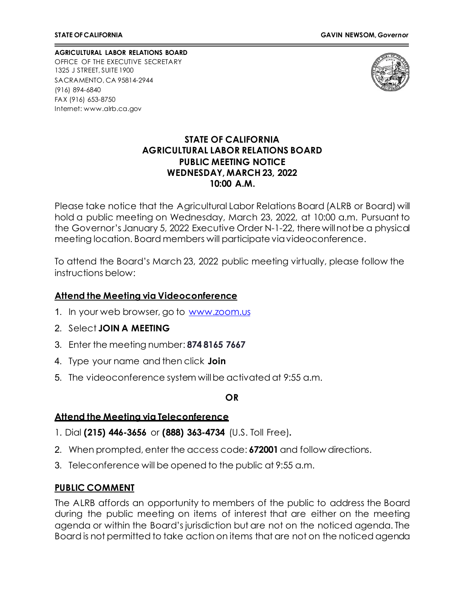**AGRICULTURAL LABOR RELATIONS BOARD** OFFICE OF THE EXECUTIVE SECRETARY 1325 J STREET, SUITE 1900 SACRAMENTO, CA 95814-2944 (916) 894-6840 FAX (916) 653-8750 Internet[: www.alrb.ca.gov](http://www.alrb.ca.gov/)



## **STATE OF CALIFORNIA AGRICULTURAL LABOR RELATIONS BOARD PUBLIC MEETING NOTICE WEDNESDAY, MARCH 23, 2022 10:00 A.M.**

Please take notice that the Agricultural Labor Relations Board (ALRB or Board) will hold a public meeting on Wednesday, March 23, 2022, at 10:00 a.m. Pursuant to the Governor's January 5, 2022 Executive Order N-1-22, there will not be a physical meeting location. Board members will participate viavideoconference.

To attend the Board's March 23, 2022 public meeting virtually, please follow the instructions below:

### **Attend the Meeting via Videoconference**

- 1. In your web browser, go to [www.zoom.us](http://www.zoom.us/)
- 2. Select **JOIN A MEETING**
- 3. Enter the meeting number: **874 8165 7667**
- 4. Type your name and then click **Join**
- 5. The videoconference system willbe activated at 9:55 a.m.

**OR**

## **Attend the Meeting via Teleconference**

- 1. Dial **(215) 446-3656** or **(888) 363-4734** (U.S. Toll Free)**.**
- 2. When prompted, enter the access code: **672001** and follow directions.
- 3. Teleconference will be opened to the public at 9:55 a.m.

## **PUBLIC COMMENT**

The ALRB affords an opportunity to members of the public to address the Board during the public meeting on items of interest that are either on the meeting agenda or within the Board's jurisdiction but are not on the noticed agenda. The Board is not permitted to take action on items that are not on the noticed agenda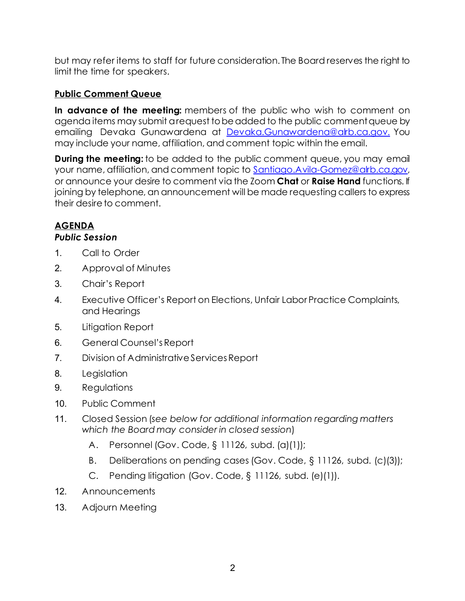but may refer items to staff for future consideration. The Board reserves the right to limit the time for speakers.

# **Public Comment Queue**

**In advance of the meeting:** members of the public who wish to comment on agenda items may submit a request to be added to the public comment queue by emailing Devaka Gunawardena at [Devaka.Gunawardena@alrb.ca.gov.](mailto:Devaka.Gunawardena@alrb.ca.gov.) You may include your name, affiliation, and comment topic within the email.

**During the meeting:** to be added to the public comment queue, you may email your name, affiliation, and comment topic to [Santiago.Avila-Gomez@alrb.ca.gov,](mailto:Santiago.Avila-Gomez@alrb.ca.gov) or announce your desire to comment via the Zoom **Chat** or **Raise Hand** functions. If joining by telephone, an announcement will be made requesting callers to express their desire to comment.

# **AGENDA**

## *Public Session*

- 1. Call to Order
- 2. Approval of Minutes
- 3. Chair's Report
- 4. Executive Officer's Report on Elections, Unfair Labor Practice Complaints, and Hearings
- 5. Litigation Report
- 6. General Counsel'sReport
- 7. Division of Administrative Services Report
- 8. Legislation
- 9. Regulations
- 10. Public Comment
- 11. Closed Session (*see below for additional information regarding matters which the Board may consider in closed session*)
	- A. Personnel (Gov. Code, § 11126, subd. (a)(1));
	- B. Deliberations on pending cases (Gov. Code, § 11126, subd. (c)(3));
	- C. Pending litigation (Gov. Code, § 11126, subd. (e)(1)).
- 12. Announcements
- 13. Adjourn Meeting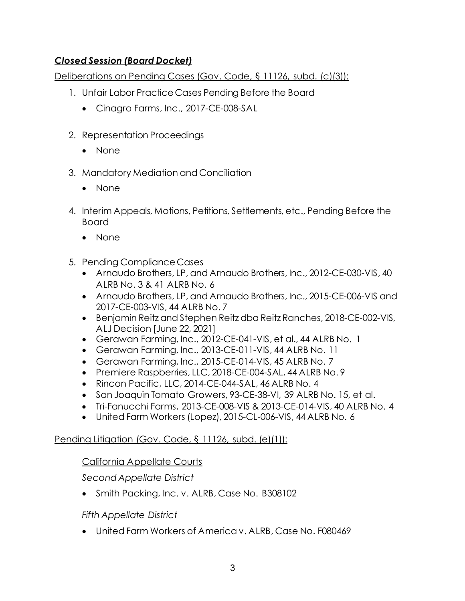# *Closed Session (Board Docket)*

Deliberations on Pending Cases (Gov. Code, § 11126, subd. (c)(3)):

- 1. Unfair Labor Practice Cases Pending Before the Board
	- Cinagro Farms, Inc., 2017-CE-008-SAL
- 2. Representation Proceedings
	- None
- 3. Mandatory Mediation and Conciliation
	- None
- 4. Interim Appeals, Motions, Petitions, Settlements, etc., Pending Before the Board
	- None
- 5. Pending Compliance Cases
	- Arnaudo Brothers, LP, and Arnaudo Brothers, Inc., 2012-CE-030-VIS, 40 ALRB No. 3 & 41 ALRB No. 6
	- Arnaudo Brothers, LP, and Arnaudo Brothers, Inc., 2015-CE-006-VIS and 2017-CE-003-VIS, 44 ALRB No. 7
	- Benjamin Reitz and Stephen Reitz dba Reitz Ranches, 2018-CE-002-VIS, ALJ Decision [June 22, 2021]
	- Gerawan Farming, Inc., 2012-CE-041-VIS, et al., 44 ALRB No. 1
	- Gerawan Farming, Inc., 2013-CE-011-VIS, 44 ALRB No. 11
	- Gerawan Farming, Inc., 2015-CE-014-VIS, 45 ALRB No. 7
	- Premiere Raspberries, LLC, 2018-CE-004-SAL, 44 ALRB No. 9
	- Rincon Pacific, LLC, 2014-CE-044-SAL, 46 ALRB No. 4
	- San Joaquin Tomato Growers, 93-CE-38-VI, 39 ALRB No. 15, et al.
	- Tri-Fanucchi Farms, 2013-CE-008-VIS & 2013-CE-014-VIS, 40 ALRB No. 4
	- United Farm Workers (Lopez), 2015-CL-006-VIS, 44 ALRB No. 6

# Pending Litigation (Gov. Code, § 11126, subd. (e)(1)):

# California Appellate Courts

*Second Appellate District*

• Smith Packing, Inc. v. ALRB, Case No. B308102

*Fifth Appellate District*

• United Farm Workers of America v. ALRB, Case No. F080469